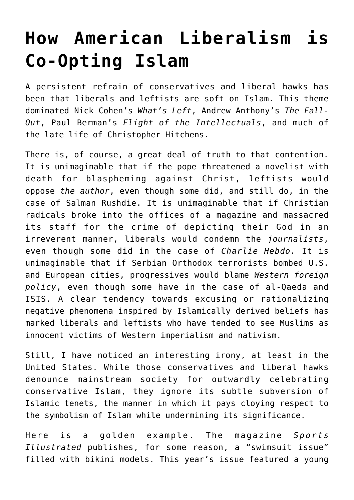## **[How American Liberalism is](https://intellectualtakeout.org/2019/09/how-american-liberalism-is-co-opting-islam/) [Co-Opting Islam](https://intellectualtakeout.org/2019/09/how-american-liberalism-is-co-opting-islam/)**

A persistent refrain of conservatives and liberal hawks has been that liberals and leftists are soft on Islam. This theme dominated Nick Cohen's *What's Left*, Andrew Anthony's *The Fall-Out*, Paul Berman's *Flight of the Intellectuals*, and much of the late life of Christopher Hitchens.

There is, of course, a great deal of truth to that contention. It is unimaginable that if the pope threatened a novelist with death for blaspheming against Christ, leftists would oppose *the author*, even though some did, and still do, in the case of Salman Rushdie. It is unimaginable that if Christian radicals broke into the offices of a magazine and massacred its staff for the crime of depicting their God in an irreverent manner, liberals would condemn the *journalists*, even though some did in the case of *Charlie Hebdo.* It is unimaginable that if Serbian Orthodox terrorists bombed U.S. and European cities, progressives would blame *Western foreign policy*, even though some have in the case of al-Qaeda and ISIS. A clear tendency towards excusing or rationalizing negative phenomena inspired by Islamically derived beliefs has marked liberals and leftists who have tended to see Muslims as innocent victims of Western imperialism and nativism.

Still, I have noticed an interesting irony, at least in the United States. While those conservatives and liberal hawks denounce mainstream society for outwardly celebrating conservative Islam, they ignore its subtle subversion of Islamic tenets, the manner in which it pays cloying respect to the symbolism of Islam while undermining its significance.

Here is a golden example. The magazine *Sports Illustrated* publishes, for some reason, a "swimsuit issue" filled with bikini models. This year's issue featured a young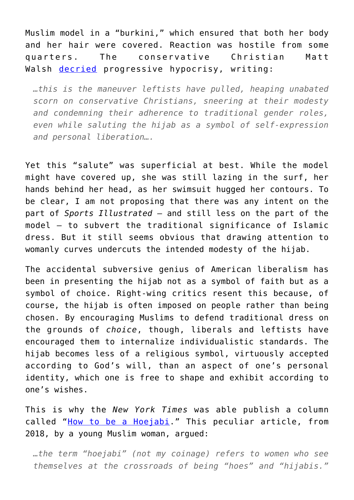Muslim model in a "burkini," which ensured that both her body and her hair were covered. Reaction was hostile from some quarters. The conservative Christian Matt Walsh [decried](https://www.dailywire.com/news/46579/walsh-it-incoherent-and-hypocritical-left-wing-matt-walsh) progressive hypocrisy, writing:

*…this is the maneuver leftists have pulled, heaping unabated scorn on conservative Christians, sneering at their modesty and condemning their adherence to traditional gender roles, even while saluting the hijab as a symbol of self-expression and personal liberation….*

Yet this "salute" was superficial at best. While the model might have covered up, she was still lazing in the surf, her hands behind her head, as her swimsuit hugged her contours. To be clear, I am not proposing that there was any intent on the part of *Sports Illustrated* – and still less on the part of the model – to subvert the traditional significance of Islamic dress. But it still seems obvious that drawing attention to womanly curves undercuts the intended modesty of the hijab.

The accidental subversive genius of American liberalism has been in presenting the hijab not as a symbol of faith but as a symbol of choice. Right-wing critics resent this because, of course, the hijab is often imposed on people rather than being chosen. By encouraging Muslims to defend traditional dress on the grounds of *choice*, though, liberals and leftists have encouraged them to internalize individualistic standards. The hijab becomes less of a religious symbol, virtuously accepted according to God's will, than an aspect of one's personal identity, which one is free to shape and exhibit according to one's wishes.

This is why the *New York Times* was able publish a column called "[How to be a Hoejabi.](https://www.nytimes.com/2018/06/29/opinion/sunday/hoejabi-hijabi-muslim-culture.html)" This peculiar article, from 2018, by a young Muslim woman, argued:

*…the term "hoejabi" (not my coinage) refers to women who see themselves at the crossroads of being "hoes" and "hijabis."*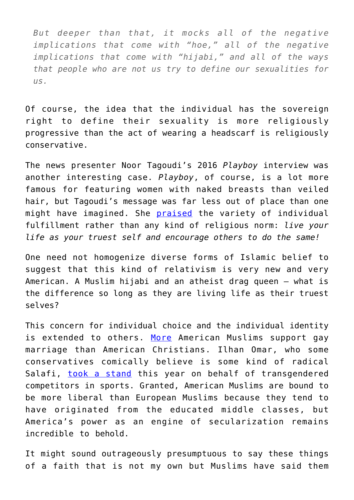*But deeper than that, it mocks all of the negative implications that come with "hoe," all of the negative implications that come with "hijabi," and all of the ways that people who are not us try to define our sexualities for us.*

Of course, the idea that the individual has the sovereign right to define their sexuality is more religiously progressive than the act of wearing a headscarf is religiously conservative.

The news presenter Noor Tagoudi's 2016 *Playboy* interview was another interesting case. *Playboy*, of course, is a lot more famous for featuring women with naked breasts than veiled hair, but Tagoudi's message was far less out of place than one might have imagined. She [praised](https://www.playboy.com/read/renegades-noor-tagouri) the variety of individual fulfillment rather than any kind of religious norm: *live your life as your truest self and encourage others to do the same!*

One need not homogenize diverse forms of Islamic belief to suggest that this kind of relativism is very new and very American. A Muslim hijabi and an atheist drag queen – what is the difference so long as they are living life as their truest selves?

This concern for individual choice and the individual identity is extended to others. [More](https://www.google.com/amp/s/www.newsweek.com/muslim-white-evangelical-gay-marriage-907627%3famp=1) American Muslims support gay marriage than American Christians. Ilhan Omar, who some conservatives comically believe is some kind of radical Salafi, [took a stand](https://theminnesotasun.com/2019/02/07/ilhan-omar-asks-keith-ellison-to-investigative-unscientific-ban-of-trans-woman-from-powerlifting-competition/) this year on behalf of transgendered competitors in sports. Granted, American Muslims are bound to be more liberal than European Muslims because they tend to have originated from the educated middle classes, but America's power as an engine of secularization remains incredible to behold.

It might sound outrageously presumptuous to say these things of a faith that is not my own but Muslims have said them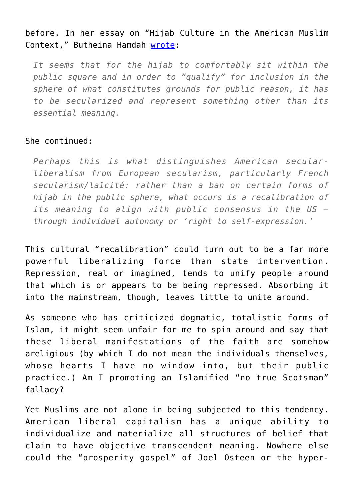## before. In her essay on "Hijab Culture in the American Muslim Context," Butheina Hamdah [wrote](https://etd.ohiolink.edu/pg_10?0::NO:10:P10_ACCESSION_NUM:toledo151335793140375):

*It seems that for the hijab to comfortably sit within the public square and in order to "qualify" for inclusion in the sphere of what constitutes grounds for public reason, it has to be secularized and represent something other than its essential meaning.*

## She continued:

*Perhaps this is what distinguishes American secularliberalism from European secularism, particularly French secularism/laïcité: rather than a ban on certain forms of hijab in the public sphere, what occurs is a recalibration of its meaning to align with public consensus in the US – through individual autonomy or 'right to self-expression.'*

This cultural "recalibration" could turn out to be a far more powerful liberalizing force than state intervention. Repression, real or imagined, tends to unify people around that which is or appears to be being repressed. Absorbing it into the mainstream, though, leaves little to unite around.

As someone who has criticized dogmatic, totalistic forms of Islam, it might seem unfair for me to spin around and say that these liberal manifestations of the faith are somehow areligious (by which I do not mean the individuals themselves, whose hearts I have no window into, but their public practice.) Am I promoting an Islamified "no true Scotsman" fallacy?

Yet Muslims are not alone in being subjected to this tendency. American liberal capitalism has a unique ability to individualize and materialize all structures of belief that claim to have objective transcendent meaning. Nowhere else could the "prosperity gospel" of Joel Osteen or the hyper